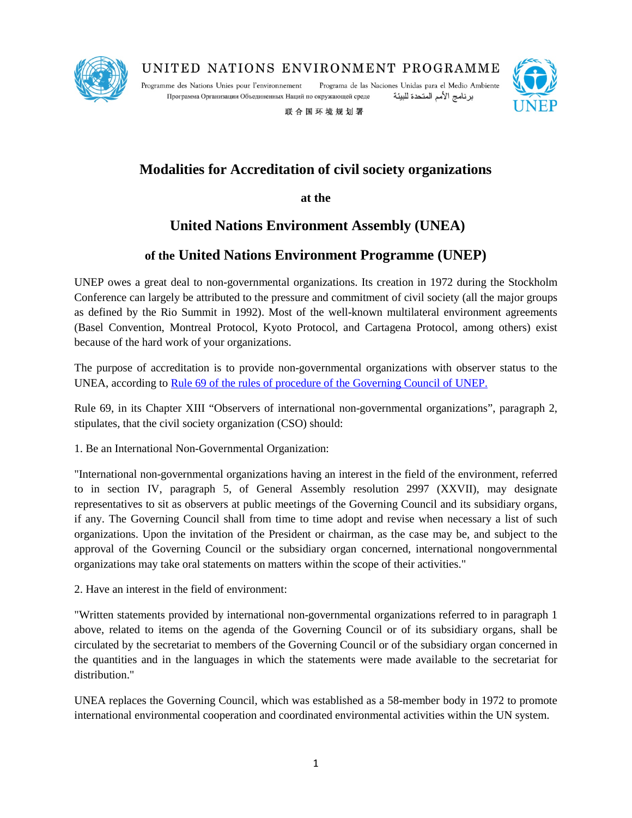

UNITED NATIONS ENVIRONMENT PROGRAMME

Programme des Nations Unies pour l'environnement Программа Организации Объединенных Наций по окружающей среде

Programa de las Naciones Unidas para el Medio Ambiente برنامج الأمم المتحدة للبيئة



联合国环境规划署

# **Modalities for Accreditation of civil society organizations**

## **at the**

## **United Nations Environment Assembly (UNEA)**

## **of the United Nations Environment Programme (UNEP)**

UNEP owes a great deal to non-governmental organizations. Its creation in 1972 during the Stockholm Conference can largely be attributed to the pressure and commitment of civil society (all the major groups as defined by the Rio Summit in 1992). Most of the well-known multilateral environment agreements (Basel Convention, Montreal Protocol, Kyoto Protocol, and Cartagena Protocol, among others) exist because of the hard work of your organizations.

The purpose of accreditation is to provide non-governmental organizations with observer status to the UNEA, according to [Rule 69 of the rules of procedure of the Governing Council of UNEP.](http://www.unep.org/about/sgb/Portals/50153/Repository/RulesofProcedure/GC27%20decision%20RoP.pdf)

Rule 69, in its Chapter XIII "Observers of international non-governmental organizations", paragraph 2, stipulates, that the civil society organization (CSO) should:

1. Be an International Non-Governmental Organization:

"International non-governmental organizations having an interest in the field of the environment, referred to in section IV, paragraph 5, of General Assembly resolution 2997 (XXVII), may designate representatives to sit as observers at public meetings of the Governing Council and its subsidiary organs, if any. The Governing Council shall from time to time adopt and revise when necessary a list of such organizations. Upon the invitation of the President or chairman, as the case may be, and subject to the approval of the Governing Council or the subsidiary organ concerned, international nongovernmental organizations may take oral statements on matters within the scope of their activities."

2. Have an interest in the field of environment:

"Written statements provided by international non-governmental organizations referred to in paragraph 1 above, related to items on the agenda of the Governing Council or of its subsidiary organs, shall be circulated by the secretariat to members of the Governing Council or of the subsidiary organ concerned in the quantities and in the languages in which the statements were made available to the secretariat for distribution."

UNEA replaces the Governing Council, which was established as a 58-member body in 1972 to promote international environmental cooperation and coordinated environmental activities within the UN system.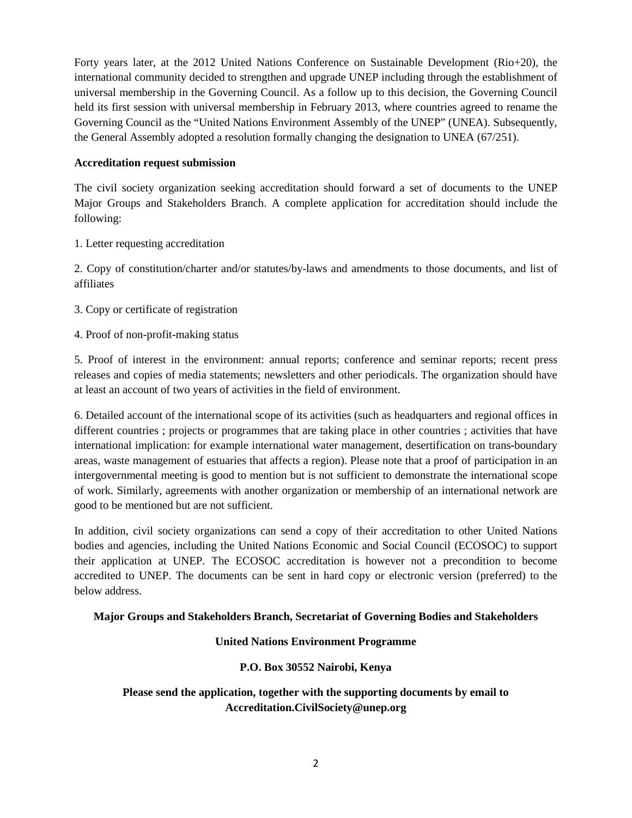Forty years later, at the 2012 United Nations Conference on Sustainable Development (Rio+20), the international community decided to strengthen and upgrade UNEP including through the establishment of universal membership in the Governing Council. As a follow up to this decision, the Governing Council held its first session with universal membership in February 2013, where countries agreed to rename the Governing Council as the "United Nations Environment Assembly of the UNEP" (UNEA). Subsequently, the General Assembly adopted a resolution formally changing the designation to UNEA (67/251).

#### **Accreditation request submission**

The civil society organization seeking accreditation should forward a set of documents to the UNEP Major Groups and Stakeholders Branch. A complete application for accreditation should include the following:

1. Letter requesting accreditation

2. Copy of constitution/charter and/or statutes/by-laws and amendments to those documents, and list of affiliates

- 3. Copy or certificate of registration
- 4. Proof of non-profit-making status

5. Proof of interest in the environment: annual reports; conference and seminar reports; recent press releases and copies of media statements; newsletters and other periodicals. The organization should have at least an account of two years of activities in the field of environment.

6. Detailed account of the international scope of its activities (such as headquarters and regional offices in different countries ; projects or programmes that are taking place in other countries ; activities that have international implication: for example international water management, desertification on trans-boundary areas, waste management of estuaries that affects a region). Please note that a proof of participation in an intergovernmental meeting is good to mention but is not sufficient to demonstrate the international scope of work. Similarly, agreements with another organization or membership of an international network are good to be mentioned but are not sufficient.

In addition, civil society organizations can send a copy of their accreditation to other United Nations bodies and agencies, including the United Nations Economic and Social Council (ECOSOC) to support their application at UNEP. The ECOSOC accreditation is however not a precondition to become accredited to UNEP. The documents can be sent in hard copy or electronic version (preferred) to the below address.

#### **Major Groups and Stakeholders Branch, Secretariat of Governing Bodies and Stakeholders**

### **United Nations Environment Programme**

### **P.O. Box 30552 Nairobi, Kenya**

**Please send the application, together with the supporting documents by email to Accreditation.CivilSociety@unep.org**